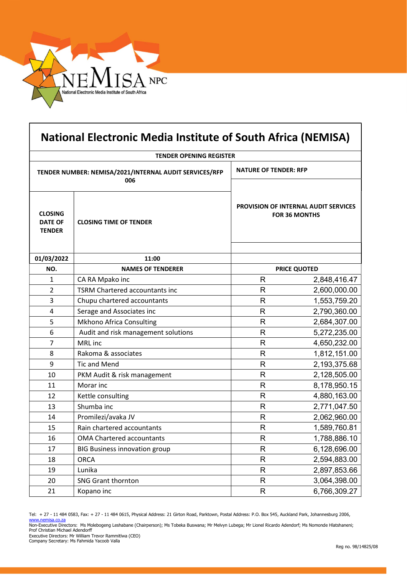

| <b>National Electronic Media Institute of South Africa (NEMISA)</b> |                                       |                                                                     |              |
|---------------------------------------------------------------------|---------------------------------------|---------------------------------------------------------------------|--------------|
| <b>TENDER OPENING REGISTER</b>                                      |                                       |                                                                     |              |
| TENDER NUMBER: NEMISA/2021/INTERNAL AUDIT SERVICES/RFP<br>006       |                                       | <b>NATURE OF TENDER: RFP</b>                                        |              |
| <b>CLOSING</b><br><b>DATE OF</b><br><b>TENDER</b>                   | <b>CLOSING TIME OF TENDER</b>         | <b>PROVISION OF INTERNAL AUDIT SERVICES</b><br><b>FOR 36 MONTHS</b> |              |
| 01/03/2022                                                          | 11:00                                 |                                                                     |              |
| NO.                                                                 | <b>NAMES OF TENDERER</b>              | <b>PRICE QUOTED</b>                                                 |              |
| 1                                                                   | CA RA Mpako inc                       | $\mathsf{R}$                                                        | 2,848,416.47 |
| 2                                                                   | <b>TSRM Chartered accountants inc</b> | R                                                                   | 2,600,000.00 |
| 3                                                                   | Chupu chartered accountants           | R                                                                   | 1,553,759.20 |
| $\overline{4}$                                                      | Serage and Associates inc             | R                                                                   | 2,790,360.00 |
| 5                                                                   | <b>Mkhono Africa Consulting</b>       | R                                                                   | 2,684,307.00 |
| 6                                                                   | Audit and risk management solutions   | R                                                                   | 5,272,235.00 |
| $\overline{7}$                                                      | MRL inc                               | R                                                                   | 4,650,232.00 |
| 8                                                                   | Rakoma & associates                   | R                                                                   | 1,812,151.00 |
| 9                                                                   | <b>Tic and Mend</b>                   | R                                                                   | 2,193,375.68 |
| 10                                                                  | PKM Audit & risk management           | R                                                                   | 2,128,505.00 |
| 11                                                                  | Morar inc                             | R                                                                   | 8,178,950.15 |
| 12                                                                  | Kettle consulting                     | R                                                                   | 4,880,163.00 |
| 13                                                                  | Shumba inc                            | R                                                                   | 2,771,047.50 |
| 14                                                                  | Promilezi/avaka JV                    | R                                                                   | 2,062,960.00 |
| 15                                                                  | Rain chartered accountants            | R                                                                   | 1,589,760.81 |
| 16                                                                  | OMA Chartered accountants             | R                                                                   | 1,788,886.10 |
| 17                                                                  | <b>BIG Business innovation group</b>  | R                                                                   | 6,128,696.00 |
| 18                                                                  | <b>ORCA</b>                           | R                                                                   | 2,594,883.00 |
| 19                                                                  | Lunika                                | R                                                                   | 2,897,853.66 |
| 20                                                                  | <b>SNG Grant thornton</b>             | R                                                                   | 3,064,398.00 |
| 21                                                                  | Kopano inc                            | R                                                                   | 6,766,309.27 |

Tel: + 27 - 11 484 0583, Fax: + 27 - 11 484 0615, Physical Address: 21 Girton Road, Parktown, Postal Address: P.O. Box 545, Auckland Park, Johannesburg 2006,<br><u>www.nemisa.co.za</u>

Non-Executive Directors: Ms Molebogeng Leshabane (Chairperson); Ms Tobeka Buswana; Mr Melvyn Lubega; Mr Lionel Ricardo Adendorf; Ms Nomonde Hlatshaneni; Prof Christian Michael Adendorff

Executive Directors: Mr William Trevor Rammitlwa (CEO) Company Secretary: Ms Fahmida Yacoob Valla